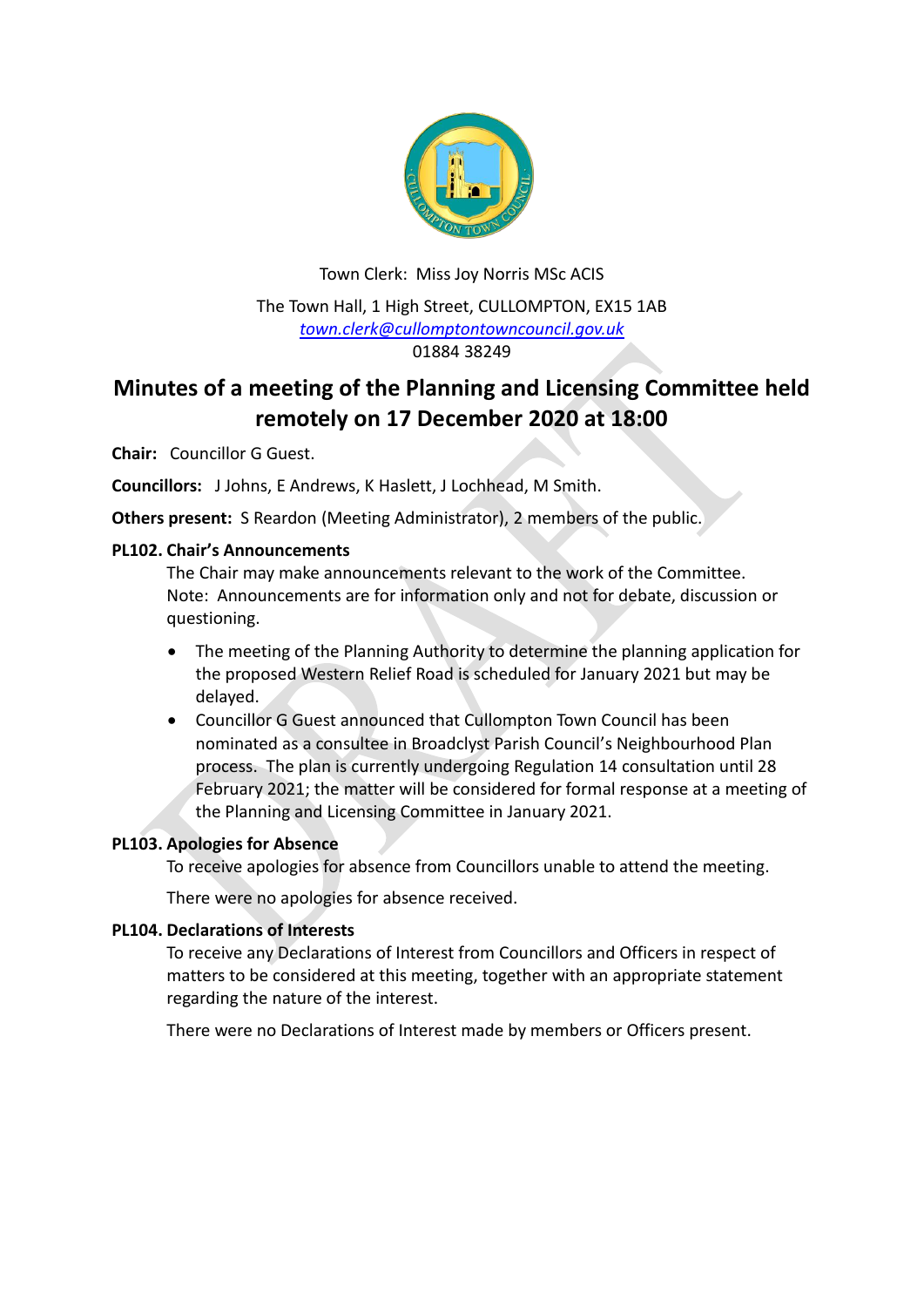

Town Clerk: Miss Joy Norris MSc ACIS The Town Hall, 1 High Street, CULLOMPTON, EX15 1AB *[town.clerk@cullomptontowncouncil.gov.uk](mailto:town.clerk@cullomptontowncouncil.gov.uk)* 01884 38249

# **Minutes of a meeting of the Planning and Licensing Committee held remotely on 17 December 2020 at 18:00**

**Chair:** Councillor G Guest.

**Councillors:** J Johns, E Andrews, K Haslett, J Lochhead, M Smith.

**Others present:** S Reardon (Meeting Administrator), 2 members of the public.

#### **PL102. Chair's Announcements**

The Chair may make announcements relevant to the work of the Committee. Note: Announcements are for information only and not for debate, discussion or questioning.

- The meeting of the Planning Authority to determine the planning application for the proposed Western Relief Road is scheduled for January 2021 but may be delayed.
- Councillor G Guest announced that Cullompton Town Council has been nominated as a consultee in Broadclyst Parish Council's Neighbourhood Plan process. The plan is currently undergoing Regulation 14 consultation until 28 February 2021; the matter will be considered for formal response at a meeting of the Planning and Licensing Committee in January 2021.

## **PL103. Apologies for Absence**

To receive apologies for absence from Councillors unable to attend the meeting.

There were no apologies for absence received.

#### **PL104. Declarations of Interests**

To receive any Declarations of Interest from Councillors and Officers in respect of matters to be considered at this meeting, together with an appropriate statement regarding the nature of the interest.

There were no Declarations of Interest made by members or Officers present.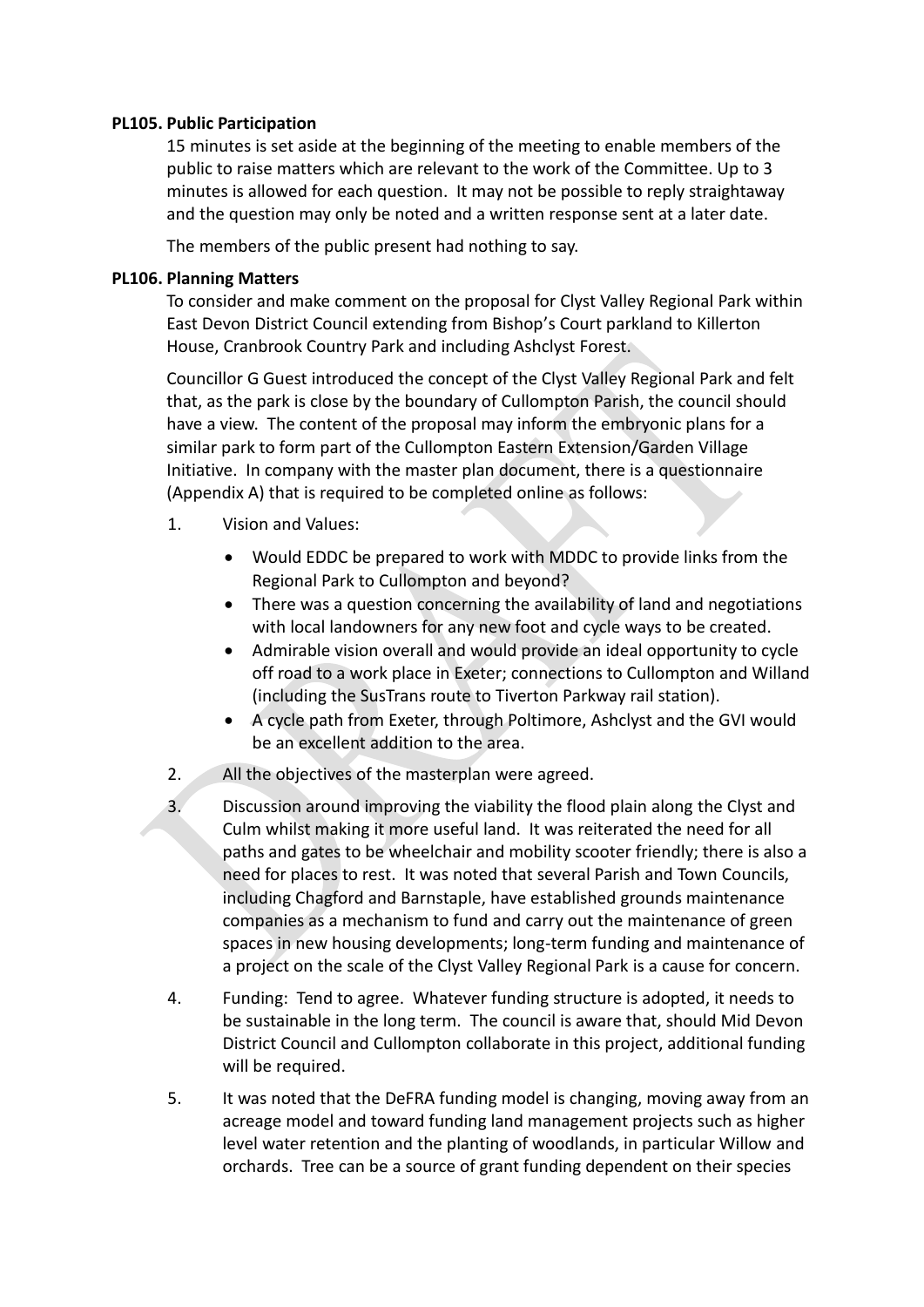#### **PL105. Public Participation**

15 minutes is set aside at the beginning of the meeting to enable members of the public to raise matters which are relevant to the work of the Committee. Up to 3 minutes is allowed for each question. It may not be possible to reply straightaway and the question may only be noted and a written response sent at a later date.

The members of the public present had nothing to say.

### **PL106. Planning Matters**

To consider and make comment on the proposal for Clyst Valley Regional Park within East Devon District Council extending from Bishop's Court parkland to Killerton House, Cranbrook Country Park and including Ashclyst Forest.

Councillor G Guest introduced the concept of the Clyst Valley Regional Park and felt that, as the park is close by the boundary of Cullompton Parish, the council should have a view. The content of the proposal may inform the embryonic plans for a similar park to form part of the Cullompton Eastern Extension/Garden Village Initiative. In company with the master plan document, there is a questionnaire (Appendix A) that is required to be completed online as follows:

- 1. Vision and Values:
	- Would EDDC be prepared to work with MDDC to provide links from the Regional Park to Cullompton and beyond?
	- There was a question concerning the availability of land and negotiations with local landowners for any new foot and cycle ways to be created.
	- Admirable vision overall and would provide an ideal opportunity to cycle off road to a work place in Exeter; connections to Cullompton and Willand (including the SusTrans route to Tiverton Parkway rail station).
	- A cycle path from Exeter, through Poltimore, Ashclyst and the GVI would be an excellent addition to the area.
- 2. All the objectives of the masterplan were agreed.
- 3. Discussion around improving the viability the flood plain along the Clyst and Culm whilst making it more useful land. It was reiterated the need for all paths and gates to be wheelchair and mobility scooter friendly; there is also a need for places to rest.It was noted that several Parish and Town Councils, including Chagford and Barnstaple, have established grounds maintenance companies as a mechanism to fund and carry out the maintenance of green spaces in new housing developments; long-term funding and maintenance of a project on the scale of the Clyst Valley Regional Park is a cause for concern.
- 4. Funding: Tend to agree. Whatever funding structure is adopted, it needs to be sustainable in the long term. The council is aware that, should Mid Devon District Council and Cullompton collaborate in this project, additional funding will be required.
- 5. It was noted that the DeFRA funding model is changing, moving away from an acreage model and toward funding land management projects such as higher level water retention and the planting of woodlands, in particular Willow and orchards. Tree can be a source of grant funding dependent on their species